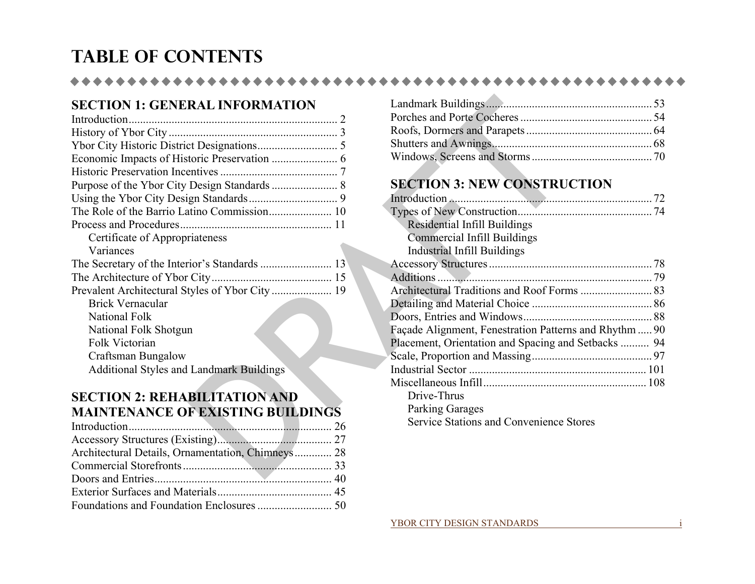# **Table of Contents**

#### \*\*\*\*\*\*\*\*\*\*

# **SECTION 1: GENERAL INFORMATION**

| <b>SECTION 1: GENERAL INFORMATION</b>             |                                        |
|---------------------------------------------------|----------------------------------------|
|                                                   | Porches and Porte Cocheres             |
|                                                   | Roofs, Dormers and Parapets            |
|                                                   |                                        |
|                                                   | Windows, Screens and Storms            |
|                                                   |                                        |
| Purpose of the Ybor City Design Standards  8      | <b>SECTION 3: NEW CONSTRUG</b>         |
|                                                   |                                        |
|                                                   | Types of New Construction              |
|                                                   | Residential Infill Buildings           |
| Certificate of Appropriateness                    | <b>Commercial Infill Buildings</b>     |
| Variances                                         | <b>Industrial Infill Buildings</b>     |
|                                                   |                                        |
|                                                   |                                        |
|                                                   | Architectural Traditions and Roof Form |
| <b>Brick Vernacular</b>                           | Detailing and Material Choice          |
| National Folk                                     | Doors, Entries and Windows             |
| National Folk Shotgun                             | Façade Alignment, Fenestration Pattern |
| Folk Victorian                                    | Placement, Orientation and Spacing and |
| <b>Craftsman Bungalow</b>                         | Scale, Proportion and Massing          |
| <b>Additional Styles and Landmark Buildings</b>   |                                        |
|                                                   |                                        |
| <b>SECTION 2: REHABILITATION AND</b>              | Drive-Thrus                            |
| <b>MAINTENANCE OF EXISTING BUILDINGS</b>          | <b>Parking Garages</b>                 |
| 26                                                | Service Stations and Convenience S     |
|                                                   |                                        |
| Architectural Details, Ornamentation, Chimneys 28 |                                        |
|                                                   |                                        |
| Doors and Entries<br>$\Delta \Omega$              |                                        |

### **SECTION 2: REHABILITATION AND MAINTENANCE OF EXISTING BUILDINGS**

| Architectural Details, Ornamentation, Chimneys 28 |
|---------------------------------------------------|
|                                                   |
|                                                   |
|                                                   |
|                                                   |
|                                                   |

# **SECTION 3: NEW CONSTRUCTION**

| Residential Infill Buildings                           |  |
|--------------------------------------------------------|--|
| <b>Commercial Infill Buildings</b>                     |  |
| Industrial Infill Buildings                            |  |
|                                                        |  |
|                                                        |  |
|                                                        |  |
|                                                        |  |
|                                                        |  |
| Façade Alignment, Fenestration Patterns and Rhythm  90 |  |
| Placement, Orientation and Spacing and Setbacks  94    |  |
|                                                        |  |
|                                                        |  |
|                                                        |  |
| Drive-Thrus                                            |  |
| <b>Parking Garages</b>                                 |  |
| <b>Service Stations and Convenience Stores</b>         |  |